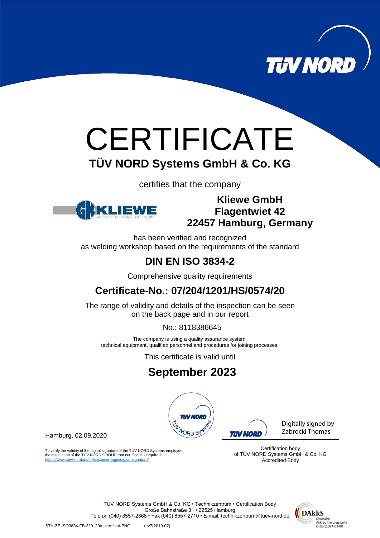

# **CERTIFICATE TÜV NORD Systems GmbH & Co. KG**

certifies that the company



#### **Kliewe GmbH Flagentwiet 42 22457 Hamburg, Germany**

has been verified and recognized as welding workshop based on the requirements of the standard

## **DIN EN ISO 3834-2**

Comprehensive quality requirements

### **Certificate-No.: 07/204/1201/HS/0574/20**

The range of validity and details of the inspection can be seen on the back page and in our report

No.: 8118386645

The company is using a quality assurance system, technical equipment, qualified personnel and procedures for joining processes.

This certificate is valid until

## **September 2023**



Hamburg, 02.09.2020

To verify the validity of the digital signature of the TÜV NORD Systems employee, the installation of the TÜV NORD GROUP root certificate is required: https://www.tuev-nord.de/en/customer-login/digital-signature/

**TIN NORD** 

Digitally signed by Zabrocki Thomas

Certification body of TÜV NORD Systems GmbH & Co. KG Accredited Body

TÜV NORD Systems GmbH & Co. KG • Technikzentrum • Certification Body Große Bahnstraße 31 • 22525 Hamburg Telefon (040) 8557-2368 • Fax (040) 8557-2710 • E-mail: technikzentrum@tuev-nord.de

DAkkS Deutsche Akkreditierungsstelle<br>D-ZE-11074-03-00